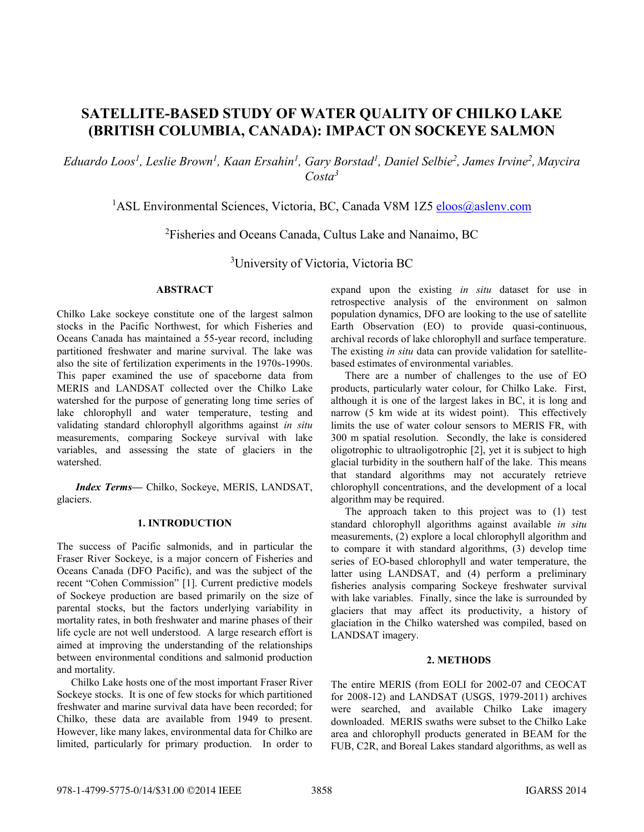# **SATELLITE-BASED STUDY OF WATER QUALITY OF CHILKO LAKE (BRITISH COLUMBIA, CANADA): IMPACT ON SOCKEYE SALMON**

*Eduardo Loos<sup>1</sup> , Leslie Brown<sup>1</sup> , Kaan Ersahin<sup>1</sup> , Gary Borstad<sup>1</sup> , Daniel Selbie<sup>2</sup> , James Irvine<sup>2</sup> , Maycira Costa<sup>3</sup>*

# <sup>1</sup>ASL Environmental Sciences, Victoria, BC, Canada V8M 1Z5 eloos@aslenv.com

<sup>2</sup>Fisheries and Oceans Canada, Cultus Lake and Nanaimo, BC

<sup>3</sup>University of Victoria, Victoria BC

## **ABSTRACT**

Chilko Lake sockeye constitute one of the largest salmon stocks in the Pacific Northwest, for which Fisheries and Oceans Canada has maintained a 55-year record, including partitioned freshwater and marine survival. The lake was also the site of fertilization experiments in the 1970s-1990s. This paper examined the use of spaceborne data from MERIS and LANDSAT collected over the Chilko Lake watershed for the purpose of generating long time series of lake chlorophyll and water temperature, testing and validating standard chlorophyll algorithms against *in situ* measurements, comparing Sockeye survival with lake variables, and assessing the state of glaciers in the watershed.

*Index Terms—* Chilko, Sockeye, MERIS, LANDSAT, glaciers.

## **1. INTRODUCTION**

The success of Pacific salmonids, and in particular the Fraser River Sockeye, is a major concern of Fisheries and Oceans Canada (DFO Pacific), and was the subject of the recent "Cohen Commission" [1]. Current predictive models of Sockeye production are based primarily on the size of parental stocks, but the factors underlying variability in mortality rates, in both freshwater and marine phases of their life cycle are not well understood. A large research effort is aimed at improving the understanding of the relationships between environmental conditions and salmonid production and mortality.

Chilko Lake hosts one of the most important Fraser River Sockeye stocks. It is one of few stocks for which partitioned freshwater and marine survival data have been recorded; for Chilko, these data are available from 1949 to present. However, like many lakes, environmental data for Chilko are limited, particularly for primary production. In order to

expand upon the existing *in situ* dataset for use in retrospective analysis of the environment on salmon population dynamics, DFO are looking to the use of satellite Earth Observation (EO) to provide quasi-continuous, archival records of lake chlorophyll and surface temperature. The existing *in situ* data can provide validation for satellitebased estimates of environmental variables.

There are a number of challenges to the use of EO products, particularly water colour, for Chilko Lake. First, although it is one of the largest lakes in BC, it is long and narrow (5 km wide at its widest point). This effectively limits the use of water colour sensors to MERIS FR, with 300 m spatial resolution. Secondly, the lake is considered oligotrophic to ultraoligotrophic [2], yet it is subject to high glacial turbidity in the southern half of the lake. This means that standard algorithms may not accurately retrieve chlorophyll concentrations, and the development of a local algorithm may be required.

The approach taken to this project was to (1) test standard chlorophyll algorithms against available *in situ* measurements, (2) explore a local chlorophyll algorithm and to compare it with standard algorithms, (3) develop time series of EO-based chlorophyll and water temperature, the latter using LANDSAT, and (4) perform a preliminary fisheries analysis comparing Sockeye freshwater survival with lake variables. Finally, since the lake is surrounded by glaciers that may affect its productivity, a history of glaciation in the Chilko watershed was compiled, based on LANDSAT imagery.

#### **2. METHODS**

The entire MERIS (from EOLI for 2002-07 and CEOCAT for 2008-12) and LANDSAT (USGS, 1979-2011) archives were searched, and available Chilko Lake imagery downloaded. MERIS swaths were subset to the Chilko Lake area and chlorophyll products generated in BEAM for the FUB, C2R, and Boreal Lakes standard algorithms, as well as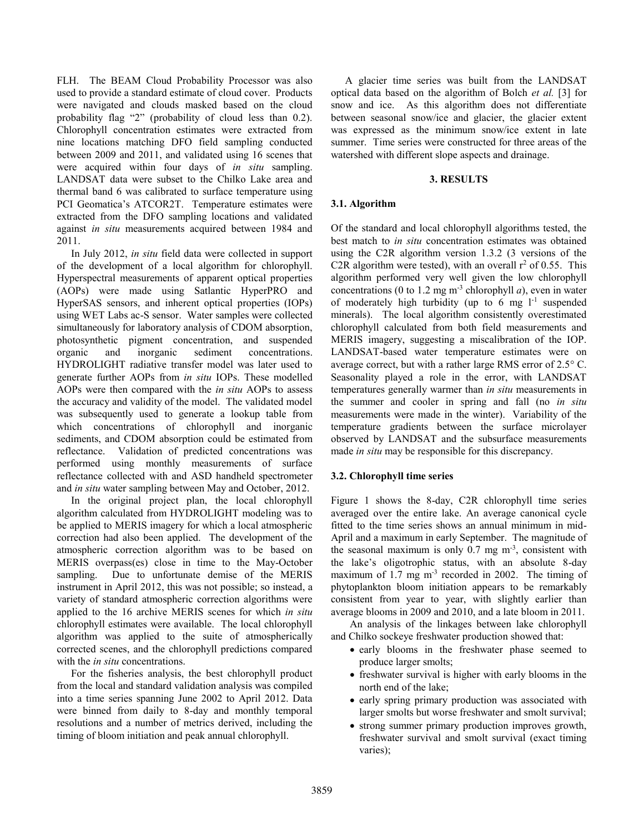FLH. The BEAM Cloud Probability Processor was also used to provide a standard estimate of cloud cover. Products were navigated and clouds masked based on the cloud probability flag "2" (probability of cloud less than 0.2). Chlorophyll concentration estimates were extracted from nine locations matching DFO field sampling conducted between 2009 and 2011, and validated using 16 scenes that were acquired within four days of *in situ* sampling. LANDSAT data were subset to the Chilko Lake area and thermal band 6 was calibrated to surface temperature using PCI Geomatica's ATCOR2T. Temperature estimates were extracted from the DFO sampling locations and validated against *in situ* measurements acquired between 1984 and 2011.

In July 2012, *in situ* field data were collected in support of the development of a local algorithm for chlorophyll. Hyperspectral measurements of apparent optical properties (AOPs) were made using Satlantic HyperPRO and HyperSAS sensors, and inherent optical properties (IOPs) using WET Labs ac-S sensor. Water samples were collected simultaneously for laboratory analysis of CDOM absorption, photosynthetic pigment concentration, and suspended organic and inorganic sediment concentrations. HYDROLIGHT radiative transfer model was later used to generate further AOPs from *in situ* IOPs. These modelled AOPs were then compared with the *in situ* AOPs to assess the accuracy and validity of the model. The validated model was subsequently used to generate a lookup table from which concentrations of chlorophyll and inorganic sediments, and CDOM absorption could be estimated from reflectance. Validation of predicted concentrations was performed using monthly measurements of surface reflectance collected with and ASD handheld spectrometer and *in situ* water sampling between May and October, 2012.

In the original project plan, the local chlorophyll algorithm calculated from HYDROLIGHT modeling was to be applied to MERIS imagery for which a local atmospheric correction had also been applied. The development of the atmospheric correction algorithm was to be based on MERIS overpass(es) close in time to the May-October sampling. Due to unfortunate demise of the MERIS instrument in April 2012, this was not possible; so instead, a variety of standard atmospheric correction algorithms were applied to the 16 archive MERIS scenes for which *in situ* chlorophyll estimates were available. The local chlorophyll algorithm was applied to the suite of atmospherically corrected scenes, and the chlorophyll predictions compared with the *in situ* concentrations.

For the fisheries analysis, the best chlorophyll product from the local and standard validation analysis was compiled into a time series spanning June 2002 to April 2012. Data were binned from daily to 8-day and monthly temporal resolutions and a number of metrics derived, including the timing of bloom initiation and peak annual chlorophyll.

A glacier time series was built from the LANDSAT optical data based on the algorithm of Bolch *et al.* [3] for snow and ice. As this algorithm does not differentiate between seasonal snow/ice and glacier, the glacier extent was expressed as the minimum snow/ice extent in late summer. Time series were constructed for three areas of the watershed with different slope aspects and drainage.

## **3. RESULTS**

## **3.1. Algorithm**

Of the standard and local chlorophyll algorithms tested, the best match to *in situ* concentration estimates was obtained using the C2R algorithm version 1.3.2 (3 versions of the C2R algorithm were tested), with an overall  $r^2$  of 0.55. This algorithm performed very well given the low chlorophyll concentrations (0 to 1.2 mg m<sup>-3</sup> chlorophyll *a*), even in water of moderately high turbidity (up to  $6 \text{ mg } l^{-1}$  suspended minerals). The local algorithm consistently overestimated chlorophyll calculated from both field measurements and MERIS imagery, suggesting a miscalibration of the IOP. LANDSAT-based water temperature estimates were on average correct, but with a rather large RMS error of  $2.5^{\circ}$  C. Seasonality played a role in the error, with LANDSAT temperatures generally warmer than *in situ* measurements in the summer and cooler in spring and fall (no *in situ* measurements were made in the winter). Variability of the temperature gradients between the surface microlayer observed by LANDSAT and the subsurface measurements made *in situ* may be responsible for this discrepancy.

## **3.2. Chlorophyll time series**

Figure 1 shows the 8-day, C2R chlorophyll time series averaged over the entire lake. An average canonical cycle fitted to the time series shows an annual minimum in mid-April and a maximum in early September. The magnitude of the seasonal maximum is only  $0.7 \text{ mg m}^3$ , consistent with the lake's oligotrophic status, with an absolute 8-day maximum of 1.7 mg  $m<sup>3</sup>$  recorded in 2002. The timing of phytoplankton bloom initiation appears to be remarkably consistent from year to year, with slightly earlier than average blooms in 2009 and 2010, and a late bloom in 2011.

An analysis of the linkages between lake chlorophyll and Chilko sockeye freshwater production showed that:

- early blooms in the freshwater phase seemed to produce larger smolts;
- freshwater survival is higher with early blooms in the north end of the lake;
- early spring primary production was associated with larger smolts but worse freshwater and smolt survival;
- strong summer primary production improves growth, freshwater survival and smolt survival (exact timing varies);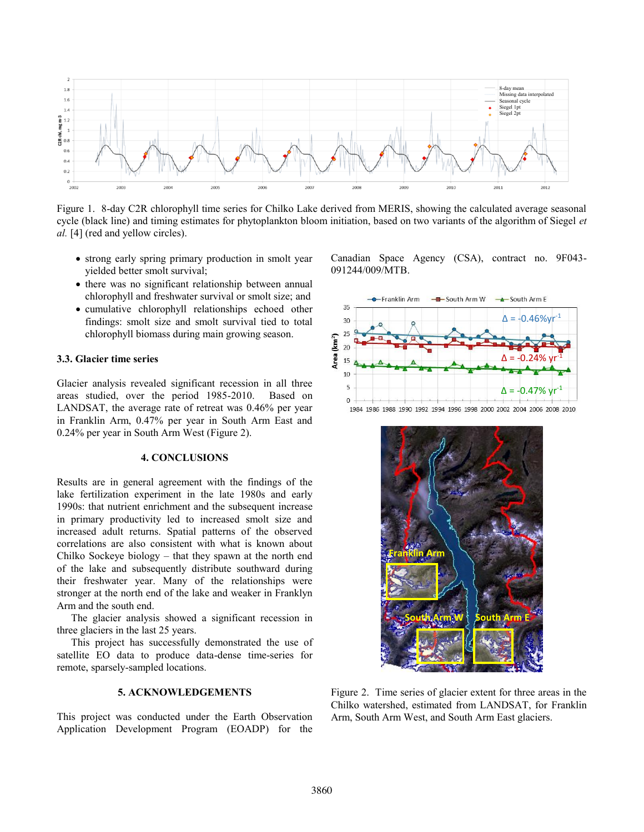

Figure 1. 8-day C2R chlorophyll time series for Chilko Lake derived from MERIS, showing the calculated average seasonal cycle (black line) and timing estimates for phytoplankton bloom initiation, based on two variants of the algorithm of Siegel *et al.* [4] (red and yellow circles).

- strong early spring primary production in smolt year yielded better smolt survival;
- there was no significant relationship between annual chlorophyll and freshwater survival or smolt size; and
- cumulative chlorophyll relationships echoed other findings: smolt size and smolt survival tied to total chlorophyll biomass during main growing season.

## **3.3. Glacier time series**

Glacier analysis revealed significant recession in all three areas studied, over the period 1985-2010. Based on LANDSAT, the average rate of retreat was 0.46% per year in Franklin Arm, 0.47% per year in South Arm East and 0.24% per year in South Arm West (Figure 2).

#### **4. CONCLUSIONS**

Results are in general agreement with the findings of the lake fertilization experiment in the late 1980s and early 1990s: that nutrient enrichment and the subsequent increase in primary productivity led to increased smolt size and increased adult returns. Spatial patterns of the observed correlations are also consistent with what is known about Chilko Sockeye biology – that they spawn at the north end of the lake and subsequently distribute southward during their freshwater year. Many of the relationships were stronger at the north end of the lake and weaker in Franklyn Arm and the south end.

The glacier analysis showed a significant recession in three glaciers in the last 25 years.

This project has successfully demonstrated the use of satellite EO data to produce data-dense time-series for remote, sparsely-sampled locations.

#### **5. ACKNOWLEDGEMENTS**

This project was conducted under the Earth Observation Application Development Program (EOADP) for the Canadian Space Agency (CSA), contract no. 9F043- 091244/009/MTB.





Figure 2. Time series of glacier extent for three areas in the Chilko watershed, estimated from LANDSAT, for Franklin Arm, South Arm West, and South Arm East glaciers.